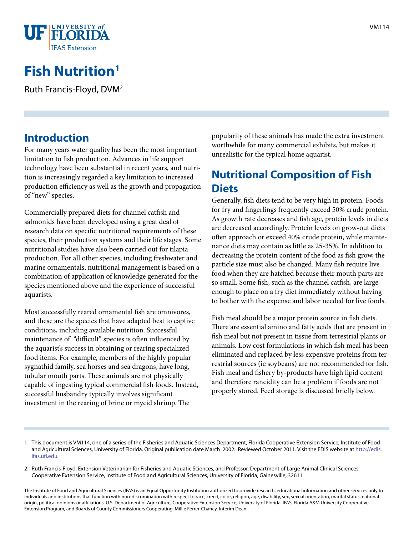

# **Fish Nutrition1**

Ruth Francis-Floyd, DVM2

#### **Introduction**

For many years water quality has been the most important limitation to fish production. Advances in life support technology have been substantial in recent years, and nutrition is increasingly regarded a key limitation to increased production efficiency as well as the growth and propagation of "new" species.

Commercially prepared diets for channel catfish and salmonids have been developed using a great deal of research data on specific nutritional requirements of these species, their production systems and their life stages. Some nutritional studies have also been carried out for tilapia production. For all other species, including freshwater and marine ornamentals, nutritional management is based on a combination of application of knowledge generated for the species mentioned above and the experience of successful aquarists.

Most successfully reared ornamental fish are omnivores, and these are the species that have adapted best to captive conditions, including available nutrition. Successful maintenance of "difficult" species is often influenced by the aquarist's success in obtaining or rearing specialized food items. For example, members of the highly popular sygnathid family, sea horses and sea dragons, have long, tubular mouth parts. These animals are not physically capable of ingesting typical commercial fish foods. Instead, successful husbandry typically involves significant investment in the rearing of brine or mycid shrimp. The

popularity of these animals has made the extra investment worthwhile for many commercial exhibits, but makes it unrealistic for the typical home aquarist.

#### **Nutritional Composition of Fish Diets**

Generally, fish diets tend to be very high in protein. Foods for fry and fingerlings frequently exceed 50% crude protein. As growth rate decreases and fish age, protein levels in diets are decreased accordingly. Protein levels on grow-out diets often approach or exceed 40% crude protein, while maintenance diets may contain as little as 25-35%. In addition to decreasing the protein content of the food as fish grow, the particle size must also be changed. Many fish require live food when they are hatched because their mouth parts are so small. Some fish, such as the channel catfish, are large enough to place on a fry diet immediately without having to bother with the expense and labor needed for live foods.

Fish meal should be a major protein source in fish diets. There are essential amino and fatty acids that are present in fish meal but not present in tissue from terrestrial plants or animals. Low cost formulations in which fish meal has been eliminated and replaced by less expensive proteins from terrestrial sources (ie soybeans) are not recommended for fish. Fish meal and fishery by-products have high lipid content and therefore rancidity can be a problem if foods are not properly stored. Feed storage is discussed briefly below.

- 1. This document is VM114, one of a series of the Fisheries and Aquatic Sciences Department, Florida Cooperative Extension Service, Institute of Food and Agricultural Sciences, University of Florida. Original publication date March 2002. Reviewed October 2011. Visit the EDIS website at [http://edis.](http://edis.ifas.ufl.edu) [ifas.ufl.edu.](http://edis.ifas.ufl.edu)
- 2. Ruth Francis-Floyd, Extension Veterinarian for Fisheries and Aquatic Sciences, and Professor, Department of Large Animal Clinical Sciences, Cooperative Extension Service, Institute of Food and Agricultural Sciences, University of Florida, Gainesville, 32611

The Institute of Food and Agricultural Sciences (IFAS) is an Equal Opportunity Institution authorized to provide research, educational information and other services only to individuals and institutions that function with non-discrimination with respect to race, creed, color, religion, age, disability, sex, sexual orientation, marital status, national origin, political opinions or affiliations. U.S. Department of Agriculture, Cooperative Extension Service, University of Florida, IFAS, Florida A&M University Cooperative Extension Program, and Boards of County Commissioners Cooperating. Millie Ferrer-Chancy, Interim Dean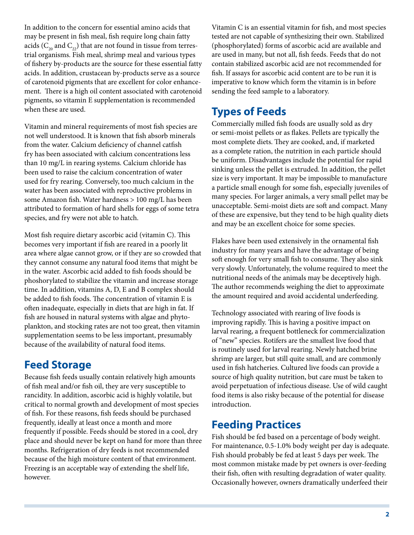In addition to the concern for essential amino acids that may be present in fish meal, fish require long chain fatty acids ( $C_{20}$  and  $C_{22}$ ) that are not found in tissue from terrestrial organisms. Fish meal, shrimp meal and various types of fishery by-products are the source for these essential fatty acids. In addition, crustacean by-products serve as a source of carotenoid pigments that are excellent for color enhancement. There is a high oil content associated with carotenoid pigments, so vitamin E supplementation is recommended when these are used.

Vitamin and mineral requirements of most fish species are not well understood. It is known that fish absorb minerals from the water. Calcium deficiency of channel catfish fry has been associated with calcium concentrations less than 10 mg/L in rearing systems. Calcium chloride has been used to raise the calcium concentration of water used for fry rearing. Conversely, too much calcium in the water has been associated with reproductive problems in some Amazon fish. Water hardness > 100 mg/L has been attributed to formation of hard shells for eggs of some tetra species, and fry were not able to hatch.

Most fish require dietary ascorbic acid (vitamin C). This becomes very important if fish are reared in a poorly lit area where algae cannot grow, or if they are so crowded that they cannot consume any natural food items that might be in the water. Ascorbic acid added to fish foods should be phoshorylated to stabilize the vitamin and increase storage time. In addition, vitamins A, D, E and B complex should be added to fish foods. The concentration of vitamin E is often inadequate, especially in diets that are high in fat. If fish are housed in natural systems with algae and phytoplankton, and stocking rates are not too great, then vitamin supplementation seems to be less important, presumably because of the availability of natural food items.

# **Feed Storage**

Because fish feeds usually contain relatively high amounts of fish meal and/or fish oil, they are very susceptible to rancidity. In addition, ascorbic acid is highly volatile, but critical to normal growth and development of most species of fish. For these reasons, fish feeds should be purchased frequently, ideally at least once a month and more frequently if possible. Feeds should be stored in a cool, dry place and should never be kept on hand for more than three months. Refrigeration of dry feeds is not recommended because of the high moisture content of that environment. Freezing is an acceptable way of extending the shelf life, however.

Vitamin C is an essential vitamin for fish, and most species tested are not capable of synthesizing their own. Stabilized (phosphorylated) forms of ascorbic acid are available and are used in many, but not all, fish feeds. Feeds that do not contain stabilized ascorbic acid are not recommended for fish. If assays for ascorbic acid content are to be run it is imperative to know which form the vitamin is in before sending the feed sample to a laboratory.

## **Types of Feeds**

Commercially milled fish foods are usually sold as dry or semi-moist pellets or as flakes. Pellets are typically the most complete diets. They are cooked, and, if marketed as a complete ration, the nutrition in each particle should be uniform. Disadvantages include the potential for rapid sinking unless the pellet is extruded. In addition, the pellet size is very important. It may be impossible to manufacture a particle small enough for some fish, especially juveniles of many species. For larger animals, a very small pellet may be unacceptable. Semi-moist diets are soft and compact. Many of these are expensive, but they tend to be high quality diets and may be an excellent choice for some species.

Flakes have been used extensively in the ornamental fish industry for many years and have the advantage of being soft enough for very small fish to consume. They also sink very slowly. Unfortunately, the volume required to meet the nutritional needs of the animals may be deceptively high. The author recommends weighing the diet to approximate the amount required and avoid accidental underfeeding.

Technology associated with rearing of live foods is improving rapidly. This is having a positive impact on larval rearing, a frequent bottleneck for commercialization of "new" species. Rotifers are the smallest live food that is routinely used for larval rearing. Newly hatched brine shrimp are larger, but still quite small, and are commonly used in fish hatcheries. Cultured live foods can provide a source of high quality nutrition, but care must be taken to avoid perpetuation of infectious disease. Use of wild caught food items is also risky because of the potential for disease introduction.

#### **Feeding Practices**

Fish should be fed based on a percentage of body weight. For maintenance, 0.5-1.0% body weight per day is adequate. Fish should probably be fed at least 5 days per week. The most common mistake made by pet owners is over-feeding their fish, often with resulting degradation of water quality. Occasionally however, owners dramatically underfeed their